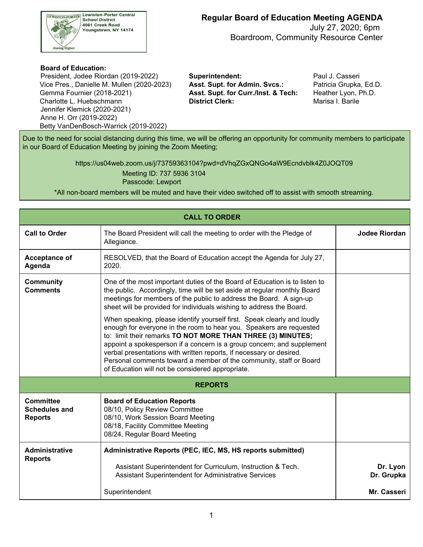

 July 27, 2020; 6pm Boardroom, Community Resource Center

## **Board of Education:**

 Vice Pres., Danielle M. Mullen (2020-2023) **Asst. Supt. for Admin. Svcs.:** Patricia Grupka, Ed.D. Gemma Fournier (2018-2021) Charlotte L. Huebschmann **District Clerk:** Marisa I. Barile President, Jodee Riordan (2019-2022) **Superintendent:** Paul J. Casseri Jennifer Klemick (2020-2021) Anne H. Orr (2019-2022) Betty VanDenBosch-Warrick (2019-2022)

Asst. Supt. for Curr./Inst. & Tech: Heather Lyon, Ph.D.

 Due to the need for social distancing during this time, we will be offering an opportunity for community members to participate in our Board of Education Meeting by joining the Zoom Meeting;

> <https://us04web.zoom.us/j/73759363104?pwd=dVhqZGxQNGo4aW9Ecndvblk4Z0JOQT09> Meeting ID: 737 5936 3104

Passcode: Lewport

\*All non-board members will be muted and have their video switched off to assist with smooth streaming.

| <b>CALL TO ORDER</b>                                |                                                                                                                                                                                                                                                                                                                                                                                                                                                                                                                                                                                                                                                                                                                                                                                                  |                        |  |  |  |  |
|-----------------------------------------------------|--------------------------------------------------------------------------------------------------------------------------------------------------------------------------------------------------------------------------------------------------------------------------------------------------------------------------------------------------------------------------------------------------------------------------------------------------------------------------------------------------------------------------------------------------------------------------------------------------------------------------------------------------------------------------------------------------------------------------------------------------------------------------------------------------|------------------------|--|--|--|--|
| <b>Call to Order</b>                                | The Board President will call the meeting to order with the Pledge of<br>Allegiance.                                                                                                                                                                                                                                                                                                                                                                                                                                                                                                                                                                                                                                                                                                             | <b>Jodee Riordan</b>   |  |  |  |  |
| <b>Acceptance of</b><br>Agenda                      | RESOLVED, that the Board of Education accept the Agenda for July 27,<br>2020.                                                                                                                                                                                                                                                                                                                                                                                                                                                                                                                                                                                                                                                                                                                    |                        |  |  |  |  |
| <b>Community</b><br><b>Comments</b>                 | One of the most important duties of the Board of Education is to listen to<br>the public. Accordingly, time will be set aside at regular monthly Board<br>meetings for members of the public to address the Board. A sign-up<br>sheet will be provided for individuals wishing to address the Board.<br>When speaking, please identify yourself first. Speak clearly and loudly<br>enough for everyone in the room to hear you. Speakers are requested<br>to: limit their remarks TO NOT MORE THAN THREE (3) MINUTES;<br>appoint a spokesperson if a concern is a group concern; and supplement<br>verbal presentations with written reports, if necessary or desired.<br>Personal comments toward a member of the community, staff or Board<br>of Education will not be considered appropriate. |                        |  |  |  |  |
| <b>REPORTS</b>                                      |                                                                                                                                                                                                                                                                                                                                                                                                                                                                                                                                                                                                                                                                                                                                                                                                  |                        |  |  |  |  |
| Committee<br><b>Schedules and</b><br><b>Reports</b> | <b>Board of Education Reports</b><br>08/10, Policy Review Committee<br>08/10, Work Session Board Meeting<br>08/18, Facility Committee Meeting<br>08/24, Regular Board Meeting                                                                                                                                                                                                                                                                                                                                                                                                                                                                                                                                                                                                                    |                        |  |  |  |  |
| <b>Administrative</b><br><b>Reports</b>             | Administrative Reports (PEC, IEC, MS, HS reports submitted)<br>Assistant Superintendent for Curriculum, Instruction & Tech.<br><b>Assistant Superintendent for Administrative Services</b>                                                                                                                                                                                                                                                                                                                                                                                                                                                                                                                                                                                                       | Dr. Lyon<br>Dr. Grupka |  |  |  |  |
|                                                     | Superintendent                                                                                                                                                                                                                                                                                                                                                                                                                                                                                                                                                                                                                                                                                                                                                                                   | Mr. Casseri            |  |  |  |  |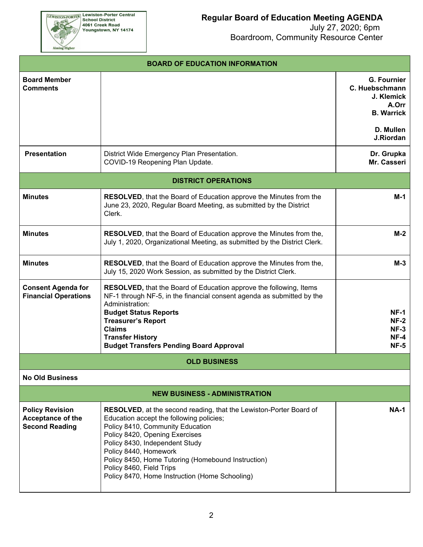**EEWISTON-PORTER Lewiston-Porter Central**<br>School District<br>4061 Creek Road<br>Youngstown, NY 14174

Aiming Higher

| <b>BOARD OF EDUCATION INFORMATION</b>                                       |                                                                                                                                                                                                                                                                                                                                                                                            |                                                                                  |  |  |  |  |
|-----------------------------------------------------------------------------|--------------------------------------------------------------------------------------------------------------------------------------------------------------------------------------------------------------------------------------------------------------------------------------------------------------------------------------------------------------------------------------------|----------------------------------------------------------------------------------|--|--|--|--|
| <b>Board Member</b><br><b>Comments</b>                                      |                                                                                                                                                                                                                                                                                                                                                                                            | <b>G. Fournier</b><br>C. Huebschmann<br>J. Klemick<br>A.Orr<br><b>B. Warrick</b> |  |  |  |  |
|                                                                             |                                                                                                                                                                                                                                                                                                                                                                                            | D. Mullen<br>J.Riordan                                                           |  |  |  |  |
| <b>Presentation</b>                                                         | District Wide Emergency Plan Presentation.<br>COVID-19 Reopening Plan Update.                                                                                                                                                                                                                                                                                                              | Dr. Grupka<br>Mr. Casseri                                                        |  |  |  |  |
|                                                                             | <b>DISTRICT OPERATIONS</b>                                                                                                                                                                                                                                                                                                                                                                 |                                                                                  |  |  |  |  |
| <b>Minutes</b>                                                              | <b>RESOLVED</b> , that the Board of Education approve the Minutes from the<br>June 23, 2020, Regular Board Meeting, as submitted by the District<br>Clerk.                                                                                                                                                                                                                                 | M-1                                                                              |  |  |  |  |
| <b>Minutes</b>                                                              | <b>RESOLVED</b> , that the Board of Education approve the Minutes from the,<br>July 1, 2020, Organizational Meeting, as submitted by the District Clerk.                                                                                                                                                                                                                                   | $M-2$                                                                            |  |  |  |  |
| <b>Minutes</b>                                                              | <b>RESOLVED</b> , that the Board of Education approve the Minutes from the,<br>July 15, 2020 Work Session, as submitted by the District Clerk.                                                                                                                                                                                                                                             | $M-3$                                                                            |  |  |  |  |
| <b>Consent Agenda for</b><br><b>Financial Operations</b>                    | <b>RESOLVED, that the Board of Education approve the following, Items</b><br>NF-1 through NF-5, in the financial consent agenda as submitted by the<br>Administration:<br><b>Budget Status Reports</b><br><b>Treasurer's Report</b><br><b>Claims</b><br><b>Transfer History</b><br><b>Budget Transfers Pending Board Approval</b>                                                          | $NF-1$<br>$NF-2$<br>$NF-3$<br>$NF-4$<br>$NF-5$                                   |  |  |  |  |
|                                                                             | <b>OLD BUSINESS</b>                                                                                                                                                                                                                                                                                                                                                                        |                                                                                  |  |  |  |  |
| <b>No Old Business</b>                                                      |                                                                                                                                                                                                                                                                                                                                                                                            |                                                                                  |  |  |  |  |
| <b>NEW BUSINESS - ADMINISTRATION</b>                                        |                                                                                                                                                                                                                                                                                                                                                                                            |                                                                                  |  |  |  |  |
| <b>Policy Revision</b><br><b>Acceptance of the</b><br><b>Second Reading</b> | <b>RESOLVED, at the second reading, that the Lewiston-Porter Board of</b><br>Education accept the following policies;<br>Policy 8410, Community Education<br>Policy 8420, Opening Exercises<br>Policy 8430, Independent Study<br>Policy 8440, Homework<br>Policy 8450, Home Tutoring (Homebound Instruction)<br>Policy 8460, Field Trips<br>Policy 8470, Home Instruction (Home Schooling) | <b>NA-1</b>                                                                      |  |  |  |  |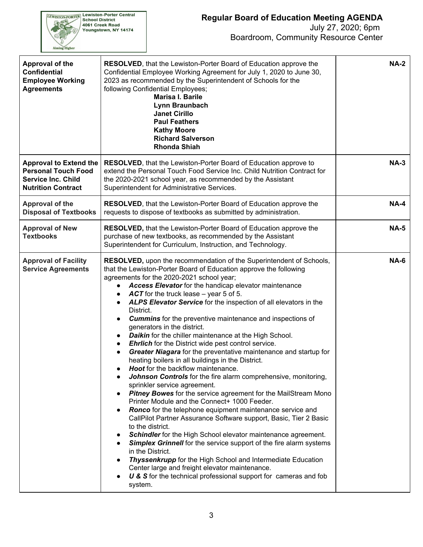

| Approval of the<br><b>Confidential</b><br><b>Employee Working</b><br><b>Agreements</b>                                | <b>RESOLVED, that the Lewiston-Porter Board of Education approve the</b><br>Confidential Employee Working Agreement for July 1, 2020 to June 30,<br>2023 as recommended by the Superintendent of Schools for the<br>following Confidential Employees;<br><b>Marisa I. Barile</b><br>Lynn Braunbach<br><b>Janet Cirillo</b><br><b>Paul Feathers</b><br><b>Kathy Moore</b><br><b>Richard Salverson</b><br><b>Rhonda Shiah</b>                                                                                                                                                                                                                                                                                                                                                                                                                                                                                                                                                                                                                                                                                                                                                                                                                                                                                                                                                                                                                                                                                                                                                                                        | <b>NA-2</b> |
|-----------------------------------------------------------------------------------------------------------------------|--------------------------------------------------------------------------------------------------------------------------------------------------------------------------------------------------------------------------------------------------------------------------------------------------------------------------------------------------------------------------------------------------------------------------------------------------------------------------------------------------------------------------------------------------------------------------------------------------------------------------------------------------------------------------------------------------------------------------------------------------------------------------------------------------------------------------------------------------------------------------------------------------------------------------------------------------------------------------------------------------------------------------------------------------------------------------------------------------------------------------------------------------------------------------------------------------------------------------------------------------------------------------------------------------------------------------------------------------------------------------------------------------------------------------------------------------------------------------------------------------------------------------------------------------------------------------------------------------------------------|-------------|
| <b>Approval to Extend the</b><br><b>Personal Touch Food</b><br><b>Service Inc. Child</b><br><b>Nutrition Contract</b> | RESOLVED, that the Lewiston-Porter Board of Education approve to<br>extend the Personal Touch Food Service Inc. Child Nutrition Contract for<br>the 2020-2021 school year, as recommended by the Assistant<br>Superintendent for Administrative Services.                                                                                                                                                                                                                                                                                                                                                                                                                                                                                                                                                                                                                                                                                                                                                                                                                                                                                                                                                                                                                                                                                                                                                                                                                                                                                                                                                          | $NA-3$      |
| <b>Approval of the</b><br><b>Disposal of Textbooks</b>                                                                | <b>RESOLVED, that the Lewiston-Porter Board of Education approve the</b><br>requests to dispose of textbooks as submitted by administration.                                                                                                                                                                                                                                                                                                                                                                                                                                                                                                                                                                                                                                                                                                                                                                                                                                                                                                                                                                                                                                                                                                                                                                                                                                                                                                                                                                                                                                                                       | <b>NA-4</b> |
| <b>Approval of New</b><br><b>Textbooks</b>                                                                            | RESOLVED, that the Lewiston-Porter Board of Education approve the<br>purchase of new textbooks, as recommended by the Assistant<br>Superintendent for Curriculum, Instruction, and Technology.                                                                                                                                                                                                                                                                                                                                                                                                                                                                                                                                                                                                                                                                                                                                                                                                                                                                                                                                                                                                                                                                                                                                                                                                                                                                                                                                                                                                                     | <b>NA-5</b> |
| <b>Approval of Facility</b><br><b>Service Agreements</b>                                                              | RESOLVED, upon the recommendation of the Superintendent of Schools,<br>that the Lewiston-Porter Board of Education approve the following<br>agreements for the 2020-2021 school year;<br>Access Elevator for the handicap elevator maintenance<br>$\bullet$<br>ACT for the truck lease – year 5 of 5.<br>$\bullet$<br>ALPS Elevator Service for the inspection of all elevators in the<br>$\bullet$<br>District.<br><b>Cummins</b> for the preventive maintenance and inspections of<br>$\bullet$<br>generators in the district.<br><b>Daikin</b> for the chiller maintenance at the High School.<br><b>Ehrlich</b> for the District wide pest control service.<br>$\bullet$<br>Greater Niagara for the preventative maintenance and startup for<br>$\bullet$<br>heating boilers in all buildings in the District.<br>Hoot for the backflow maintenance.<br><b>Johnson Controls</b> for the fire alarm comprehensive, monitoring,<br>sprinkler service agreement.<br><b>Pitney Bowes</b> for the service agreement for the MailStream Mono<br>Printer Module and the Connect+ 1000 Feeder.<br>Ronco for the telephone equipment maintenance service and<br>CallPilot Partner Assurance Software support, Basic, Tier 2 Basic<br>to the district.<br>Schindler for the High School elevator maintenance agreement.<br><b>Simplex Grinnell</b> for the service support of the fire alarm systems<br>in the District.<br>Thyssenkrupp for the High School and Intermediate Education<br>Center large and freight elevator maintenance.<br>U & S for the technical professional support for cameras and fob<br>system. | <b>NA-6</b> |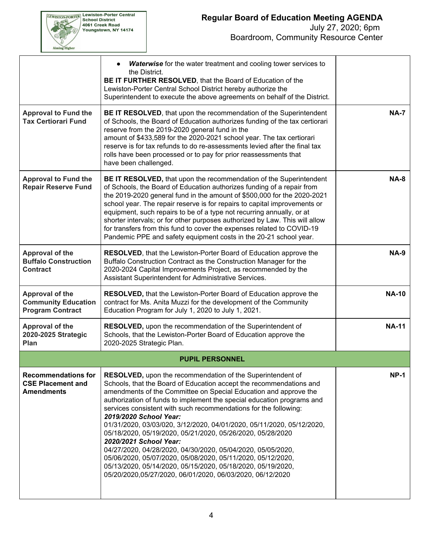

|                                                                                 | <b>Waterwise</b> for the water treatment and cooling tower services to<br>the District.<br>BE IT FURTHER RESOLVED, that the Board of Education of the<br>Lewiston-Porter Central School District hereby authorize the<br>Superintendent to execute the above agreements on behalf of the District.                                                                                                                                                                                                                                                                                                                                                                                                                                                                                                              |              |
|---------------------------------------------------------------------------------|-----------------------------------------------------------------------------------------------------------------------------------------------------------------------------------------------------------------------------------------------------------------------------------------------------------------------------------------------------------------------------------------------------------------------------------------------------------------------------------------------------------------------------------------------------------------------------------------------------------------------------------------------------------------------------------------------------------------------------------------------------------------------------------------------------------------|--------------|
| <b>Approval to Fund the</b><br><b>Tax Certiorari Fund</b>                       | BE IT RESOLVED, that upon the recommendation of the Superintendent<br>of Schools, the Board of Education authorizes funding of the tax certiorari<br>reserve from the 2019-2020 general fund in the<br>amount of \$433,589 for the 2020-2021 school year. The tax certiorari<br>reserve is for tax refunds to do re-assessments levied after the final tax<br>rolls have been processed or to pay for prior reassessments that<br>have been challenged.                                                                                                                                                                                                                                                                                                                                                         | <b>NA-7</b>  |
| <b>Approval to Fund the</b><br><b>Repair Reserve Fund</b>                       | BE IT RESOLVED, that upon the recommendation of the Superintendent<br>of Schools, the Board of Education authorizes funding of a repair from<br>the 2019-2020 general fund in the amount of \$500,000 for the 2020-2021<br>school year. The repair reserve is for repairs to capital improvements or<br>equipment, such repairs to be of a type not recurring annually, or at<br>shorter intervals; or for other purposes authorized by Law. This will allow<br>for transfers from this fund to cover the expenses related to COVID-19<br>Pandemic PPE and safety equipment costs in the 20-21 school year.                                                                                                                                                                                                     | <b>NA-8</b>  |
| Approval of the<br><b>Buffalo Construction</b><br><b>Contract</b>               | RESOLVED, that the Lewiston-Porter Board of Education approve the<br>Buffalo Construction Contract as the Construction Manager for the<br>2020-2024 Capital Improvements Project, as recommended by the<br>Assistant Superintendent for Administrative Services.                                                                                                                                                                                                                                                                                                                                                                                                                                                                                                                                                | <b>NA-9</b>  |
| <b>Approval of the</b><br><b>Community Education</b><br><b>Program Contract</b> | <b>RESOLVED, that the Lewiston-Porter Board of Education approve the</b><br>contract for Ms. Anita Muzzi for the development of the Community<br>Education Program for July 1, 2020 to July 1, 2021.                                                                                                                                                                                                                                                                                                                                                                                                                                                                                                                                                                                                            | <b>NA-10</b> |
| Approval of the<br>2020-2025 Strategic<br>Plan                                  | RESOLVED, upon the recommendation of the Superintendent of<br>Schools, that the Lewiston-Porter Board of Education approve the<br>2020-2025 Strategic Plan.                                                                                                                                                                                                                                                                                                                                                                                                                                                                                                                                                                                                                                                     | <b>NA-11</b> |
|                                                                                 | <b>PUPIL PERSONNEL</b>                                                                                                                                                                                                                                                                                                                                                                                                                                                                                                                                                                                                                                                                                                                                                                                          |              |
| <b>Recommendations for</b><br><b>CSE Placement and</b><br><b>Amendments</b>     | <b>RESOLVED, upon the recommendation of the Superintendent of</b><br>Schools, that the Board of Education accept the recommendations and<br>amendments of the Committee on Special Education and approve the<br>authorization of funds to implement the special education programs and<br>services consistent with such recommendations for the following:<br>2019/2020 School Year:<br>01/31/2020, 03/03/020, 3/12/2020, 04/01/2020, 05/11/2020, 05/12/2020,<br>05/18/2020, 05/19/2020, 05/21/2020, 05/26/2020, 05/28/2020<br>2020/2021 School Year:<br>04/27/2020, 04/28/2020, 04/30/2020, 05/04/2020, 05/05/2020,<br>05/06/2020, 05/07/2020, 05/08/2020, 05/11/2020, 05/12/2020,<br>05/13/2020, 05/14/2020, 05/15/2020, 05/18/2020, 05/19/2020,<br>05/20/2020,05/27/2020, 06/01/2020, 06/03/2020, 06/12/2020 | <b>NP-1</b>  |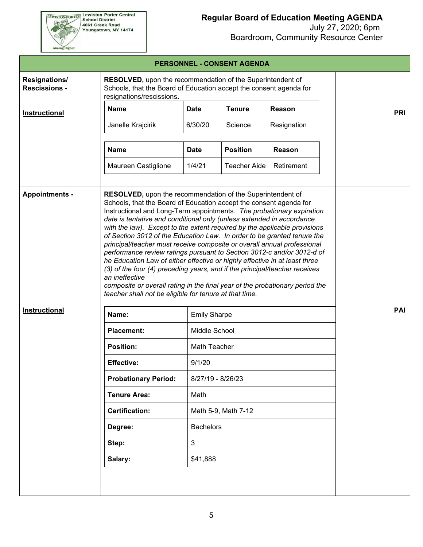**EEWISTON-PORTER Lewiston-Porter Central**<br>School District<br>4061 Creek Road<br>Youngstown, NY 14174

Aiming Higher

## **Regular Board of Education Meeting AGENDA**

|                                              |                                                                                                                                                               |                                                                                                                                                                                                                                                                                                                                                                                                                                                                                                                                                                                                                                                                                                                                                                                                                                                                                                       | PERSONNEL - CONSENT AGENDA |             |            |  |  |
|----------------------------------------------|---------------------------------------------------------------------------------------------------------------------------------------------------------------|-------------------------------------------------------------------------------------------------------------------------------------------------------------------------------------------------------------------------------------------------------------------------------------------------------------------------------------------------------------------------------------------------------------------------------------------------------------------------------------------------------------------------------------------------------------------------------------------------------------------------------------------------------------------------------------------------------------------------------------------------------------------------------------------------------------------------------------------------------------------------------------------------------|----------------------------|-------------|------------|--|--|
| <b>Resignations/</b><br><b>Rescissions -</b> | RESOLVED, upon the recommendation of the Superintendent of<br>Schools, that the Board of Education accept the consent agenda for<br>resignations/rescissions. |                                                                                                                                                                                                                                                                                                                                                                                                                                                                                                                                                                                                                                                                                                                                                                                                                                                                                                       |                            |             |            |  |  |
| Instructional                                | <b>Name</b>                                                                                                                                                   | <b>Date</b>                                                                                                                                                                                                                                                                                                                                                                                                                                                                                                                                                                                                                                                                                                                                                                                                                                                                                           | <b>Tenure</b>              | Reason      | <b>PRI</b> |  |  |
|                                              | Janelle Krajcirik                                                                                                                                             | 6/30/20                                                                                                                                                                                                                                                                                                                                                                                                                                                                                                                                                                                                                                                                                                                                                                                                                                                                                               | Science                    | Resignation |            |  |  |
|                                              | <b>Name</b>                                                                                                                                                   | <b>Date</b>                                                                                                                                                                                                                                                                                                                                                                                                                                                                                                                                                                                                                                                                                                                                                                                                                                                                                           | <b>Position</b>            | Reason      |            |  |  |
|                                              | Maureen Castiglione                                                                                                                                           | 1/4/21                                                                                                                                                                                                                                                                                                                                                                                                                                                                                                                                                                                                                                                                                                                                                                                                                                                                                                | <b>Teacher Aide</b>        | Retirement  |            |  |  |
| <b>Appointments -</b>                        | an ineffective                                                                                                                                                | RESOLVED, upon the recommendation of the Superintendent of<br>Schools, that the Board of Education accept the consent agenda for<br>Instructional and Long-Term appointments. The probationary expiration<br>date is tentative and conditional only (unless extended in accordance<br>with the law). Except to the extent required by the applicable provisions<br>of Section 3012 of the Education Law. In order to be granted tenure the<br>principal/teacher must receive composite or overall annual professional<br>performance review ratings pursuant to Section 3012-c and/or 3012-d of<br>he Education Law of either effective or highly effective in at least three<br>(3) of the four (4) preceding years, and if the principal/teacher receives<br>composite or overall rating in the final year of the probationary period the<br>teacher shall not be eligible for tenure at that time. |                            |             |            |  |  |
| Instructional                                | Name:                                                                                                                                                         | <b>Emily Sharpe</b>                                                                                                                                                                                                                                                                                                                                                                                                                                                                                                                                                                                                                                                                                                                                                                                                                                                                                   |                            |             | <b>PAI</b> |  |  |
|                                              | <b>Placement:</b>                                                                                                                                             | Middle School                                                                                                                                                                                                                                                                                                                                                                                                                                                                                                                                                                                                                                                                                                                                                                                                                                                                                         |                            |             |            |  |  |
|                                              | <b>Position:</b>                                                                                                                                              | Math Teacher                                                                                                                                                                                                                                                                                                                                                                                                                                                                                                                                                                                                                                                                                                                                                                                                                                                                                          |                            |             |            |  |  |
|                                              | <b>Effective:</b>                                                                                                                                             | 9/1/20                                                                                                                                                                                                                                                                                                                                                                                                                                                                                                                                                                                                                                                                                                                                                                                                                                                                                                |                            |             |            |  |  |
|                                              | <b>Probationary Period:</b>                                                                                                                                   | 8/27/19 - 8/26/23                                                                                                                                                                                                                                                                                                                                                                                                                                                                                                                                                                                                                                                                                                                                                                                                                                                                                     |                            |             |            |  |  |
|                                              | <b>Tenure Area:</b>                                                                                                                                           | Math                                                                                                                                                                                                                                                                                                                                                                                                                                                                                                                                                                                                                                                                                                                                                                                                                                                                                                  |                            |             |            |  |  |
|                                              | <b>Certification:</b>                                                                                                                                         | Math 5-9, Math 7-12                                                                                                                                                                                                                                                                                                                                                                                                                                                                                                                                                                                                                                                                                                                                                                                                                                                                                   |                            |             |            |  |  |
|                                              | Degree:                                                                                                                                                       | <b>Bachelors</b>                                                                                                                                                                                                                                                                                                                                                                                                                                                                                                                                                                                                                                                                                                                                                                                                                                                                                      |                            |             |            |  |  |
|                                              | Step:                                                                                                                                                         | 3                                                                                                                                                                                                                                                                                                                                                                                                                                                                                                                                                                                                                                                                                                                                                                                                                                                                                                     |                            |             |            |  |  |
|                                              | Salary:                                                                                                                                                       | \$41,888                                                                                                                                                                                                                                                                                                                                                                                                                                                                                                                                                                                                                                                                                                                                                                                                                                                                                              |                            |             |            |  |  |
|                                              |                                                                                                                                                               |                                                                                                                                                                                                                                                                                                                                                                                                                                                                                                                                                                                                                                                                                                                                                                                                                                                                                                       |                            |             |            |  |  |